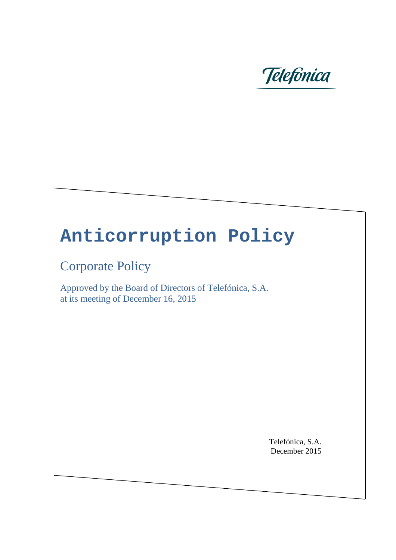

# **Anticorruption Policy**

Corporate Policy

Approved by the Board of Directors of Telefónica, S.A. at its meeting of December 16, 2015

> Telefónica, S.A. December 2015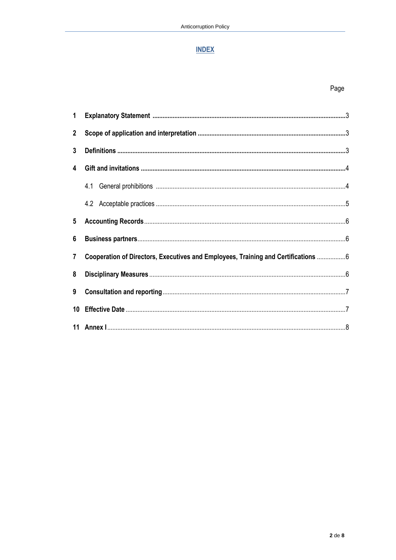# **INDEX**

| $2^{\circ}$     |                                                                                    |  |  |
|-----------------|------------------------------------------------------------------------------------|--|--|
| $\mathbf{3}$    |                                                                                    |  |  |
| 4               |                                                                                    |  |  |
|                 |                                                                                    |  |  |
|                 |                                                                                    |  |  |
| $5\overline{)}$ |                                                                                    |  |  |
| 6               |                                                                                    |  |  |
| $\overline{7}$  | Cooperation of Directors, Executives and Employees, Training and Certifications  6 |  |  |
| 8               |                                                                                    |  |  |
| 9               |                                                                                    |  |  |
| 10 <sup>°</sup> |                                                                                    |  |  |
|                 |                                                                                    |  |  |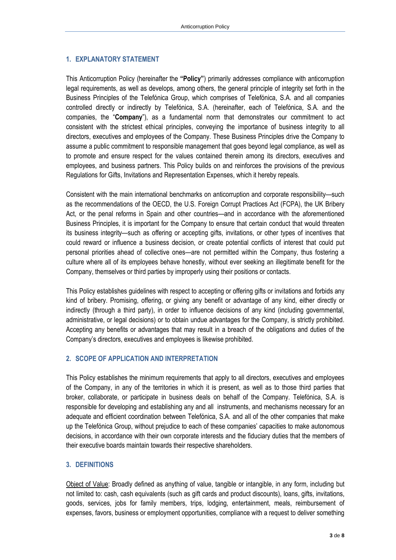#### **1. EXPLANATORY STATEMENT**

This Anticorruption Policy (hereinafter the **"Policy"**) primarily addresses compliance with anticorruption legal requirements, as well as develops, among others, the general principle of integrity set forth in the Business Principles of the Telefónica Group, which comprises of Telefónica, S.A. and all companies controlled directly or indirectly by Telefónica, S.A. (hereinafter, each of Telefónica, S.A. and the companies, the "**Company**"), as a fundamental norm that demonstrates our commitment to act consistent with the strictest ethical principles, conveying the importance of business integrity to all directors, executives and employees of the Company. These Business Principles drive the Company to assume a public commitment to responsible management that goes beyond legal compliance, as well as to promote and ensure respect for the values contained therein among its directors, executives and employees, and business partners. This Policy builds on and reinforces the provisions of the previous Regulations for Gifts, Invitations and Representation Expenses, which it hereby repeals.

Consistent with the main international benchmarks on anticorruption and corporate responsibility—such as the recommendations of the OECD, the U.S. Foreign Corrupt Practices Act (FCPA), the UK Bribery Act, or the penal reforms in Spain and other countries—and in accordance with the aforementioned Business Principles, it is important for the Company to ensure that certain conduct that would threaten its business integrity—such as offering or accepting gifts, invitations, or other types of incentives that could reward or influence a business decision, or create potential conflicts of interest that could put personal priorities ahead of collective ones—are not permitted within the Company, thus fostering a culture where all of its employees behave honestly, without ever seeking an illegitimate benefit for the Company, themselves or third parties by improperly using their positions or contacts.

This Policy establishes guidelines with respect to accepting or offering gifts or invitations and forbids any kind of bribery. Promising, offering, or giving any benefit or advantage of any kind, either directly or indirectly (through a third party), in order to influence decisions of any kind (including governmental, administrative, or legal decisions) or to obtain undue advantages for the Company, is strictly prohibited. Accepting any benefits or advantages that may result in a breach of the obligations and duties of the Company's directors, executives and employees is likewise prohibited.

#### **2. SCOPE OF APPLICATION AND INTERPRETATION**

This Policy establishes the minimum requirements that apply to all directors, executives and employees of the Company, in any of the territories in which it is present, as well as to those third parties that broker, collaborate, or participate in business deals on behalf of the Company. Telefónica, S.A. is responsible for developing and establishing any and all instruments, and mechanisms necessary for an adequate and efficient coordination between Telefónica, S.A. and all of the other companies that make up the Telefónica Group, without prejudice to each of these companies' capacities to make autonomous decisions, in accordance with their own corporate interests and the fiduciary duties that the members of their executive boards maintain towards their respective shareholders.

#### **3. DEFINITIONS**

Object of Value: Broadly defined as anything of value, tangible or intangible, in any form, including but not limited to: cash, cash equivalents (such as gift cards and product discounts), loans, gifts, invitations, goods, services, jobs for family members, trips, lodging, entertainment, meals, reimbursement of expenses, favors, business or employment opportunities, compliance with a request to deliver something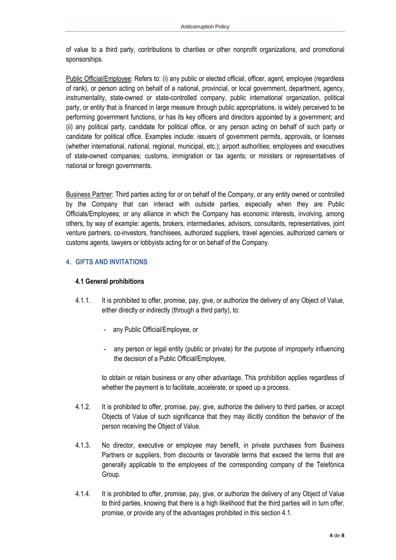of value to a third party, contributions to charities or other nonprofit organizations, and promotional sponsorships.

Public Official/Employee: Refers to: (i) any public or elected official, officer, agent, employee (regardless of rank), or person acting on behalf of a national, provincial, or local government, department, agency, instrumentality, state-owned or state-controlled company, public international organization, political party, or entity that is financed in large measure through public appropriations, is widely perceived to be performing government functions, or has its key officers and directors appointed by a government; and (ii) any political party, candidate for political office, or any person acting on behalf of such party or candidate for political office. Examples include: issuers of government permits, approvals, or licenses (whether international, national, regional, municipal, etc.); airport authorities; employees and executives of state-owned companies; customs, immigration or tax agents; or ministers or representatives of national or foreign governments.

Business Partner: Third parties acting for or on behalf of the Company, or any entity owned or controlled by the Company that can interact with outside parties, especially when they are Public Officials/Employees; or any alliance in which the Company has economic interests, involving, among others, by way of example: agents, brokers, intermediaries, advisors, consultants, representatives, joint venture partners, co-investors, franchisees, authorized suppliers, travel agencies, authorized carriers or customs agents, lawyers or lobbyists acting for or on behalf of the Company.

## **4. GIFTS AND INVITATIONS**

#### **4.1 General prohibitions**

- 4.1.1. It is prohibited to offer, promise, pay, give, or authorize the delivery of any Object of Value, either directly or indirectly (through a third party), to:
	- any Public Official/Employee, or
	- any person or legal entity (public or private) for the purpose of improperly influencing the decision of a Public Official/Employee,

to obtain or retain business or any other advantage. This prohibition applies regardless of whether the payment is to facilitate, accelerate, or speed up a process.

- 4.1.2. It is prohibited to offer, promise, pay, give, authorize the delivery to third parties, or accept Objects of Value of such significance that they may illicitly condition the behavior of the person receiving the Object of Value.
- 4.1.3. No director, executive or employee may benefit, in private purchases from Business Partners or suppliers, from discounts or favorable terms that exceed the terms that are generally applicable to the employees of the corresponding company of the Telefónica Group.
- 4.1.4. It is prohibited to offer, promise, pay, give, or authorize the delivery of any Object of Value to third parties, knowing that there is a high likelihood that the third parties will in turn offer, promise, or provide any of the advantages prohibited in this section 4.1.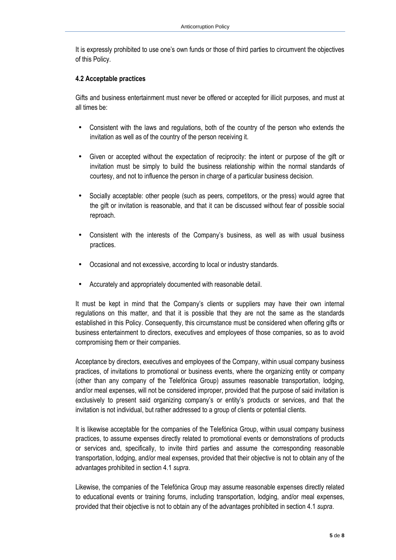It is expressly prohibited to use one's own funds or those of third parties to circumvent the objectives of this Policy.

#### **4.2 Acceptable practices**

Gifts and business entertainment must never be offered or accepted for illicit purposes, and must at all times be:

- Consistent with the laws and regulations, both of the country of the person who extends the invitation as well as of the country of the person receiving it.
- Given or accepted without the expectation of reciprocity: the intent or purpose of the gift or invitation must be simply to build the business relationship within the normal standards of courtesy, and not to influence the person in charge of a particular business decision.
- Socially acceptable: other people (such as peers, competitors, or the press) would agree that the gift or invitation is reasonable, and that it can be discussed without fear of possible social reproach.
- Consistent with the interests of the Company's business, as well as with usual business practices.
- Occasional and not excessive, according to local or industry standards.
- Accurately and appropriately documented with reasonable detail.

It must be kept in mind that the Company's clients or suppliers may have their own internal regulations on this matter, and that it is possible that they are not the same as the standards established in this Policy. Consequently, this circumstance must be considered when offering gifts or business entertainment to directors, executives and employees of those companies, so as to avoid compromising them or their companies.

Acceptance by directors, executives and employees of the Company, within usual company business practices, of invitations to promotional or business events, where the organizing entity or company (other than any company of the Telefónica Group) assumes reasonable transportation, lodging, and/or meal expenses, will not be considered improper, provided that the purpose of said invitation is exclusively to present said organizing company's or entity's products or services, and that the invitation is not individual, but rather addressed to a group of clients or potential clients.

It is likewise acceptable for the companies of the Telefónica Group, within usual company business practices, to assume expenses directly related to promotional events or demonstrations of products or services and, specifically, to invite third parties and assume the corresponding reasonable transportation, lodging, and/or meal expenses, provided that their objective is not to obtain any of the advantages prohibited in section 4.1 *supra*.

Likewise, the companies of the Telefónica Group may assume reasonable expenses directly related to educational events or training forums, including transportation, lodging, and/or meal expenses, provided that their objective is not to obtain any of the advantages prohibited in section 4.1 *supra*.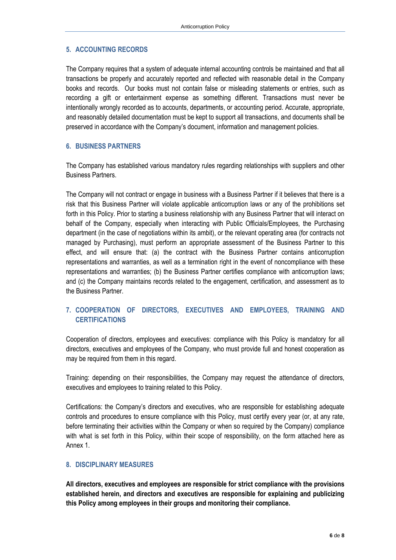#### **5. ACCOUNTING RECORDS**

The Company requires that a system of adequate internal accounting controls be maintained and that all transactions be properly and accurately reported and reflected with reasonable detail in the Company books and records. Our books must not contain false or misleading statements or entries, such as recording a gift or entertainment expense as something different. Transactions must never be intentionally wrongly recorded as to accounts, departments, or accounting period. Accurate, appropriate, and reasonably detailed documentation must be kept to support all transactions, and documents shall be preserved in accordance with the Company's document, information and management policies.

#### **6. BUSINESS PARTNERS**

The Company has established various mandatory rules regarding relationships with suppliers and other Business Partners.

The Company will not contract or engage in business with a Business Partner if it believes that there is a risk that this Business Partner will violate applicable anticorruption laws or any of the prohibitions set forth in this Policy. Prior to starting a business relationship with any Business Partner that will interact on behalf of the Company, especially when interacting with Public Officials/Employees, the Purchasing department (in the case of negotiations within its ambit), or the relevant operating area (for contracts not managed by Purchasing), must perform an appropriate assessment of the Business Partner to this effect, and will ensure that: (a) the contract with the Business Partner contains anticorruption representations and warranties, as well as a termination right in the event of noncompliance with these representations and warranties; (b) the Business Partner certifies compliance with anticorruption laws; and (c) the Company maintains records related to the engagement, certification, and assessment as to the Business Partner.

### **7. COOPERATION OF DIRECTORS, EXECUTIVES AND EMPLOYEES, TRAINING AND CERTIFICATIONS**

Cooperation of directors, employees and executives: compliance with this Policy is mandatory for all directors, executives and employees of the Company, who must provide full and honest cooperation as may be required from them in this regard.

Training: depending on their responsibilities, the Company may request the attendance of directors, executives and employees to training related to this Policy.

Certifications: the Company's directors and executives, who are responsible for establishing adequate controls and procedures to ensure compliance with this Policy, must certify every year (or, at any rate, before terminating their activities within the Company or when so required by the Company) compliance with what is set forth in this Policy, within their scope of responsibility, on the form attached here as Annex 1.

#### **8. DISCIPLINARY MEASURES**

**All directors, executives and employees are responsible for strict compliance with the provisions established herein, and directors and executives are responsible for explaining and publicizing this Policy among employees in their groups and monitoring their compliance.**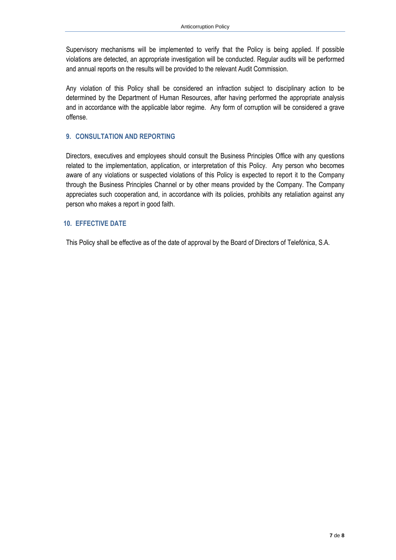Supervisory mechanisms will be implemented to verify that the Policy is being applied. If possible violations are detected, an appropriate investigation will be conducted. Regular audits will be performed and annual reports on the results will be provided to the relevant Audit Commission.

Any violation of this Policy shall be considered an infraction subject to disciplinary action to be determined by the Department of Human Resources, after having performed the appropriate analysis and in accordance with the applicable labor regime. Any form of corruption will be considered a grave offense.

#### **9. CONSULTATION AND REPORTING**

Directors, executives and employees should consult the Business Principles Office with any questions related to the implementation, application, or interpretation of this Policy. Any person who becomes aware of any violations or suspected violations of this Policy is expected to report it to the Company through the Business Principles Channel or by other means provided by the Company. The Company appreciates such cooperation and, in accordance with its policies, prohibits any retaliation against any person who makes a report in good faith.

#### **10. EFFECTIVE DATE**

This Policy shall be effective as of the date of approval by the Board of Directors of Telefónica, S.A.